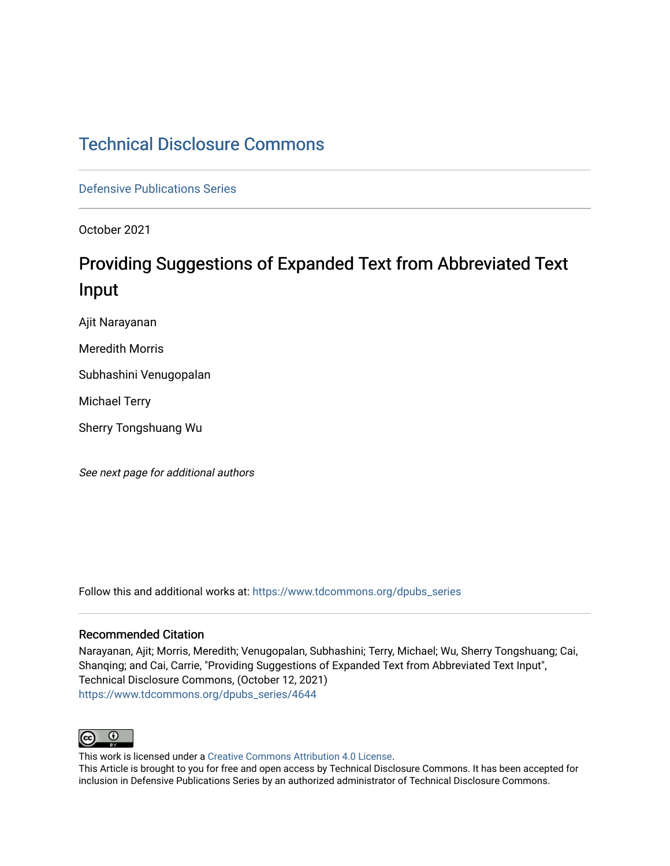# [Technical Disclosure Commons](https://www.tdcommons.org/)

[Defensive Publications Series](https://www.tdcommons.org/dpubs_series)

October 2021

# Providing Suggestions of Expanded Text from Abbreviated Text Input

Ajit Narayanan

Meredith Morris

Subhashini Venugopalan

Michael Terry

Sherry Tongshuang Wu

See next page for additional authors

Follow this and additional works at: [https://www.tdcommons.org/dpubs\\_series](https://www.tdcommons.org/dpubs_series?utm_source=www.tdcommons.org%2Fdpubs_series%2F4644&utm_medium=PDF&utm_campaign=PDFCoverPages) 

### Recommended Citation

Narayanan, Ajit; Morris, Meredith; Venugopalan, Subhashini; Terry, Michael; Wu, Sherry Tongshuang; Cai, Shanqing; and Cai, Carrie, "Providing Suggestions of Expanded Text from Abbreviated Text Input", Technical Disclosure Commons, (October 12, 2021) [https://www.tdcommons.org/dpubs\\_series/4644](https://www.tdcommons.org/dpubs_series/4644?utm_source=www.tdcommons.org%2Fdpubs_series%2F4644&utm_medium=PDF&utm_campaign=PDFCoverPages)



This work is licensed under a [Creative Commons Attribution 4.0 License](http://creativecommons.org/licenses/by/4.0/deed.en_US).

This Article is brought to you for free and open access by Technical Disclosure Commons. It has been accepted for inclusion in Defensive Publications Series by an authorized administrator of Technical Disclosure Commons.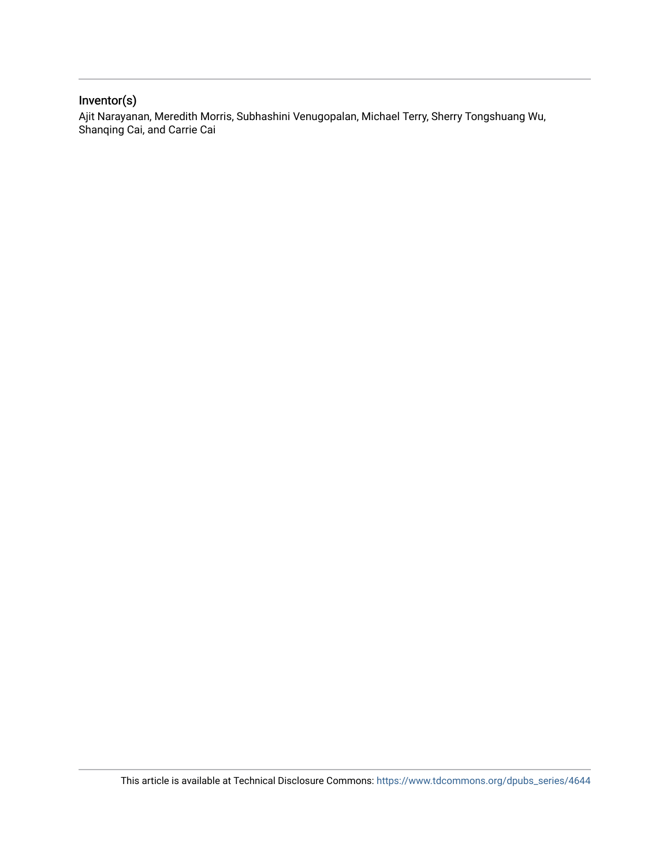# Inventor(s)

Ajit Narayanan, Meredith Morris, Subhashini Venugopalan, Michael Terry, Sherry Tongshuang Wu, Shanqing Cai, and Carrie Cai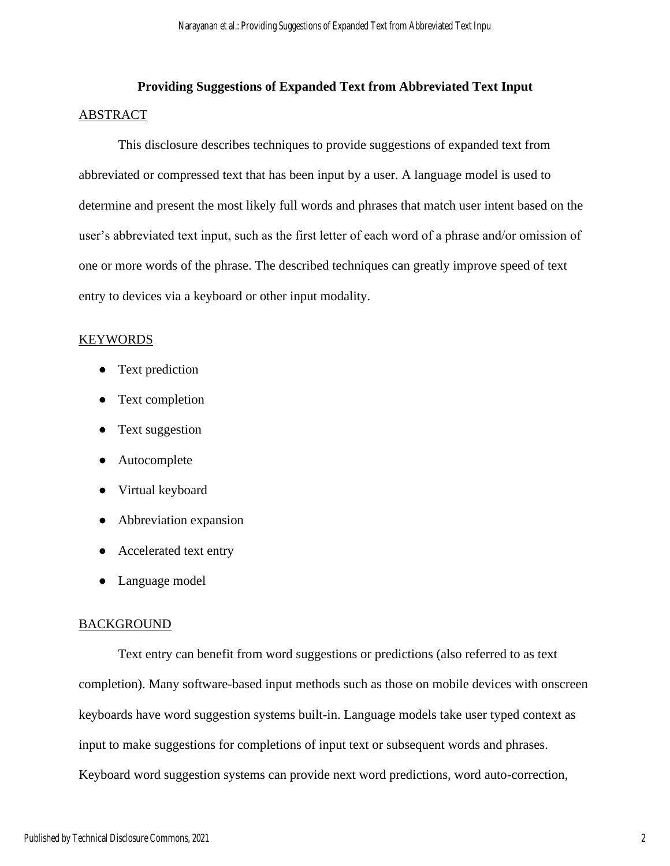# **Providing Suggestions of Expanded Text from Abbreviated Text Input** ABSTRACT

This disclosure describes techniques to provide suggestions of expanded text from abbreviated or compressed text that has been input by a user. A language model is used to determine and present the most likely full words and phrases that match user intent based on the user's abbreviated text input, such as the first letter of each word of a phrase and/or omission of one or more words of the phrase. The described techniques can greatly improve speed of text entry to devices via a keyboard or other input modality.

## **KEYWORDS**

- Text prediction
- Text completion
- Text suggestion
- Autocomplete
- Virtual keyboard
- Abbreviation expansion
- Accelerated text entry
- Language model

## **BACKGROUND**

Text entry can benefit from word suggestions or predictions (also referred to as text completion). Many software-based input methods such as those on mobile devices with onscreen keyboards have word suggestion systems built-in. Language models take user typed context as input to make suggestions for completions of input text or subsequent words and phrases. Keyboard word suggestion systems can provide next word predictions, word auto-correction,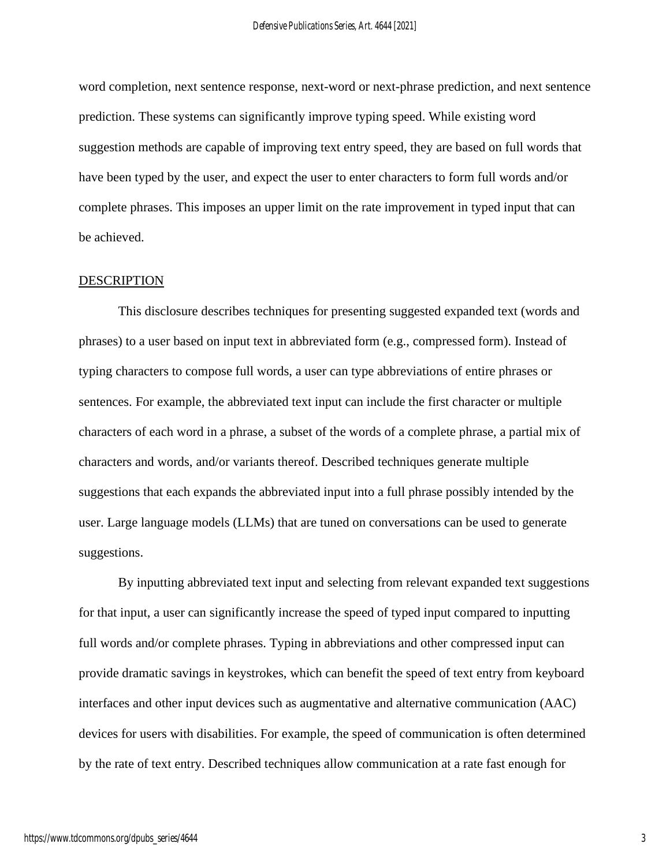word completion, next sentence response, next-word or next-phrase prediction, and next sentence prediction. These systems can significantly improve typing speed. While existing word suggestion methods are capable of improving text entry speed, they are based on full words that have been typed by the user, and expect the user to enter characters to form full words and/or complete phrases. This imposes an upper limit on the rate improvement in typed input that can be achieved.

#### **DESCRIPTION**

This disclosure describes techniques for presenting suggested expanded text (words and phrases) to a user based on input text in abbreviated form (e.g., compressed form). Instead of typing characters to compose full words, a user can type abbreviations of entire phrases or sentences. For example, the abbreviated text input can include the first character or multiple characters of each word in a phrase, a subset of the words of a complete phrase, a partial mix of characters and words, and/or variants thereof. Described techniques generate multiple suggestions that each expands the abbreviated input into a full phrase possibly intended by the user. Large language models (LLMs) that are tuned on conversations can be used to generate suggestions.

By inputting abbreviated text input and selecting from relevant expanded text suggestions for that input, a user can significantly increase the speed of typed input compared to inputting full words and/or complete phrases. Typing in abbreviations and other compressed input can provide dramatic savings in keystrokes, which can benefit the speed of text entry from keyboard interfaces and other input devices such as augmentative and alternative communication (AAC) devices for users with disabilities. For example, the speed of communication is often determined by the rate of text entry. Described techniques allow communication at a rate fast enough for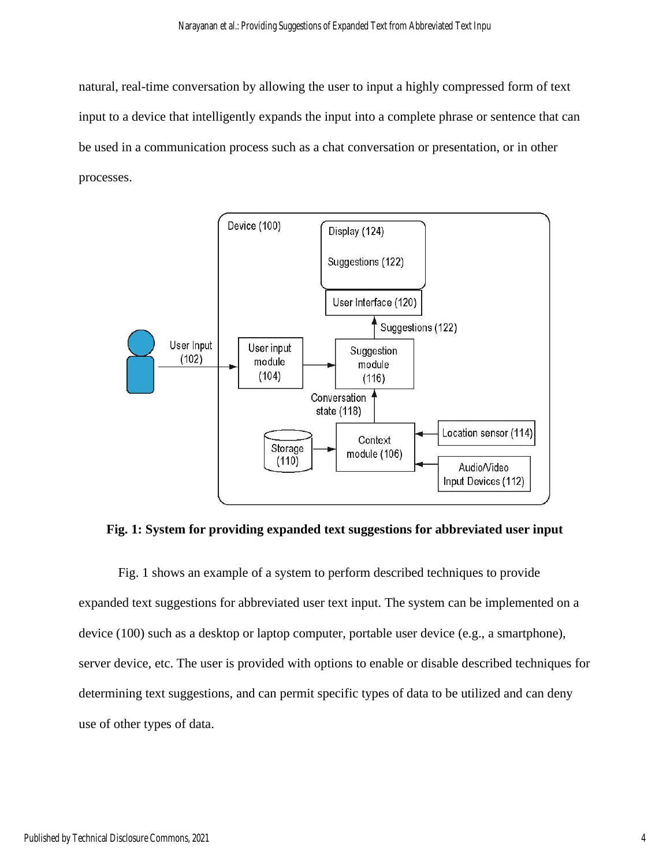natural, real-time conversation by allowing the user to input a highly compressed form of text input to a device that intelligently expands the input into a complete phrase or sentence that can be used in a communication process such as a chat conversation or presentation, or in other processes.



**Fig. 1: System for providing expanded text suggestions for abbreviated user input**

Fig. 1 shows an example of a system to perform described techniques to provide expanded text suggestions for abbreviated user text input. The system can be implemented on a device (100) such as a desktop or laptop computer, portable user device (e.g., a smartphone), server device, etc. The user is provided with options to enable or disable described techniques for determining text suggestions, and can permit specific types of data to be utilized and can deny use of other types of data.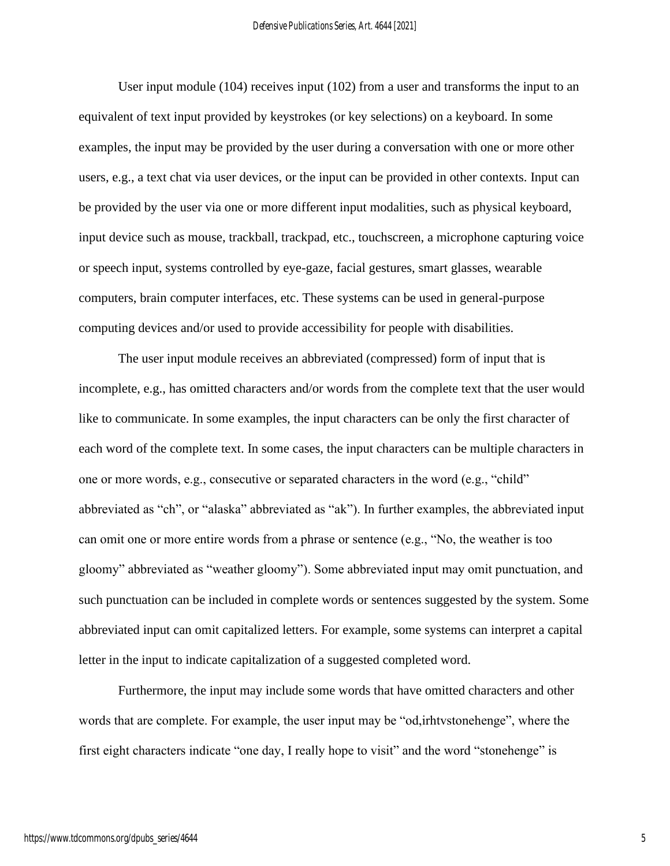User input module (104) receives input (102) from a user and transforms the input to an equivalent of text input provided by keystrokes (or key selections) on a keyboard. In some examples, the input may be provided by the user during a conversation with one or more other users, e.g., a text chat via user devices, or the input can be provided in other contexts. Input can be provided by the user via one or more different input modalities, such as physical keyboard, input device such as mouse, trackball, trackpad, etc., touchscreen, a microphone capturing voice or speech input, systems controlled by eye-gaze, facial gestures, smart glasses, wearable computers, brain computer interfaces, etc. These systems can be used in general-purpose computing devices and/or used to provide accessibility for people with disabilities.

The user input module receives an abbreviated (compressed) form of input that is incomplete, e.g., has omitted characters and/or words from the complete text that the user would like to communicate. In some examples, the input characters can be only the first character of each word of the complete text. In some cases, the input characters can be multiple characters in one or more words, e.g., consecutive or separated characters in the word (e.g., "child" abbreviated as "ch", or "alaska" abbreviated as "ak"). In further examples, the abbreviated input can omit one or more entire words from a phrase or sentence (e.g., "No, the weather is too gloomy" abbreviated as "weather gloomy"). Some abbreviated input may omit punctuation, and such punctuation can be included in complete words or sentences suggested by the system. Some abbreviated input can omit capitalized letters. For example, some systems can interpret a capital letter in the input to indicate capitalization of a suggested completed word.

Furthermore, the input may include some words that have omitted characters and other words that are complete. For example, the user input may be "od,irhtvstonehenge", where the first eight characters indicate "one day, I really hope to visit" and the word "stonehenge" is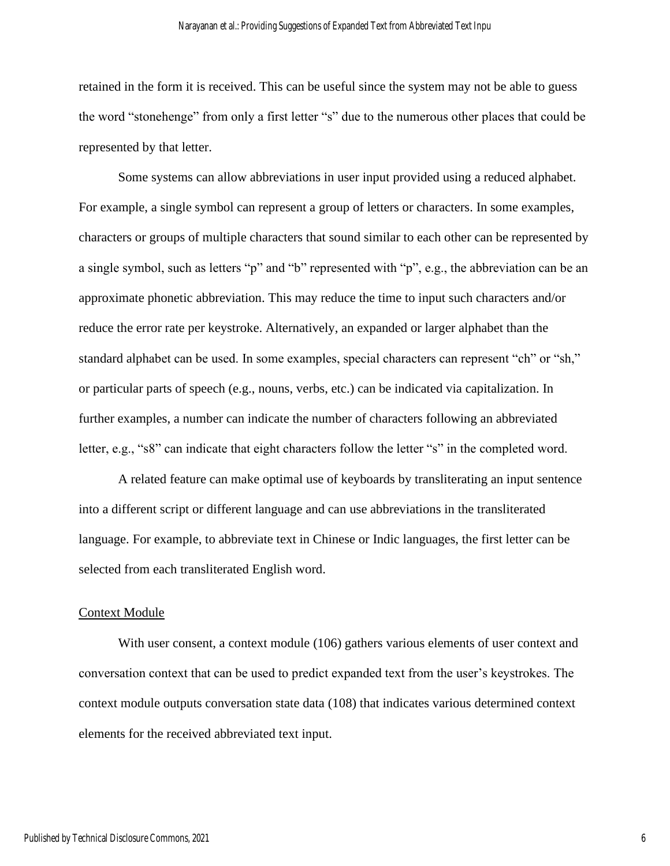retained in the form it is received. This can be useful since the system may not be able to guess the word "stonehenge" from only a first letter "s" due to the numerous other places that could be represented by that letter.

Some systems can allow abbreviations in user input provided using a reduced alphabet. For example, a single symbol can represent a group of letters or characters. In some examples, characters or groups of multiple characters that sound similar to each other can be represented by a single symbol, such as letters "p" and "b" represented with "p", e.g., the abbreviation can be an approximate phonetic abbreviation. This may reduce the time to input such characters and/or reduce the error rate per keystroke. Alternatively, an expanded or larger alphabet than the standard alphabet can be used. In some examples, special characters can represent "ch" or "sh," or particular parts of speech (e.g., nouns, verbs, etc.) can be indicated via capitalization. In further examples, a number can indicate the number of characters following an abbreviated letter, e.g., "s8" can indicate that eight characters follow the letter "s" in the completed word.

A related feature can make optimal use of keyboards by transliterating an input sentence into a different script or different language and can use abbreviations in the transliterated language. For example, to abbreviate text in Chinese or Indic languages, the first letter can be selected from each transliterated English word.

## Context Module

With user consent, a context module (106) gathers various elements of user context and conversation context that can be used to predict expanded text from the user's keystrokes. The context module outputs conversation state data (108) that indicates various determined context elements for the received abbreviated text input.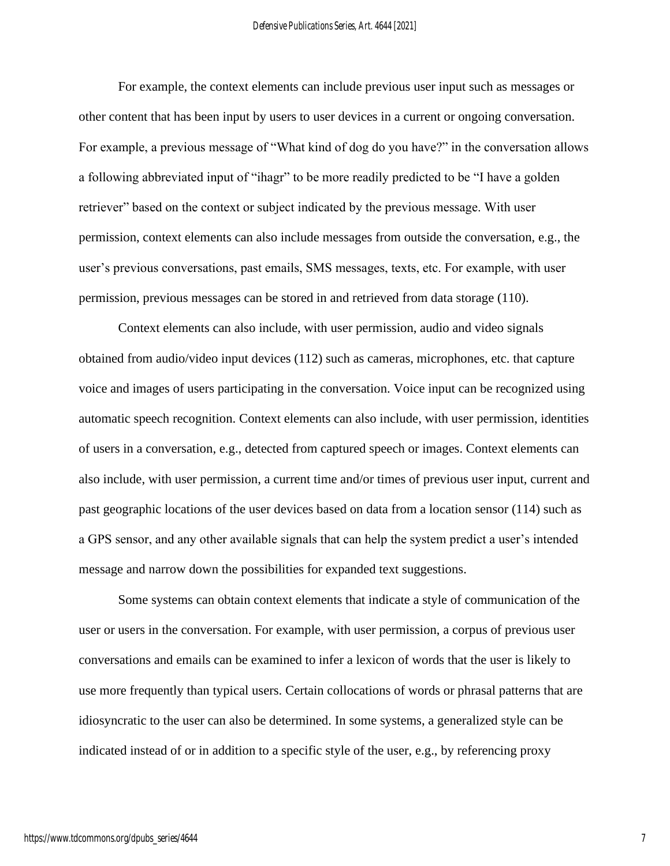For example, the context elements can include previous user input such as messages or other content that has been input by users to user devices in a current or ongoing conversation. For example, a previous message of "What kind of dog do you have?" in the conversation allows a following abbreviated input of "ihagr" to be more readily predicted to be "I have a golden retriever" based on the context or subject indicated by the previous message. With user permission, context elements can also include messages from outside the conversation, e.g., the user's previous conversations, past emails, SMS messages, texts, etc. For example, with user permission, previous messages can be stored in and retrieved from data storage (110).

Context elements can also include, with user permission, audio and video signals obtained from audio/video input devices (112) such as cameras, microphones, etc. that capture voice and images of users participating in the conversation. Voice input can be recognized using automatic speech recognition. Context elements can also include, with user permission, identities of users in a conversation, e.g., detected from captured speech or images. Context elements can also include, with user permission, a current time and/or times of previous user input, current and past geographic locations of the user devices based on data from a location sensor (114) such as a GPS sensor, and any other available signals that can help the system predict a user's intended message and narrow down the possibilities for expanded text suggestions.

Some systems can obtain context elements that indicate a style of communication of the user or users in the conversation. For example, with user permission, a corpus of previous user conversations and emails can be examined to infer a lexicon of words that the user is likely to use more frequently than typical users. Certain collocations of words or phrasal patterns that are idiosyncratic to the user can also be determined. In some systems, a generalized style can be indicated instead of or in addition to a specific style of the user, e.g., by referencing proxy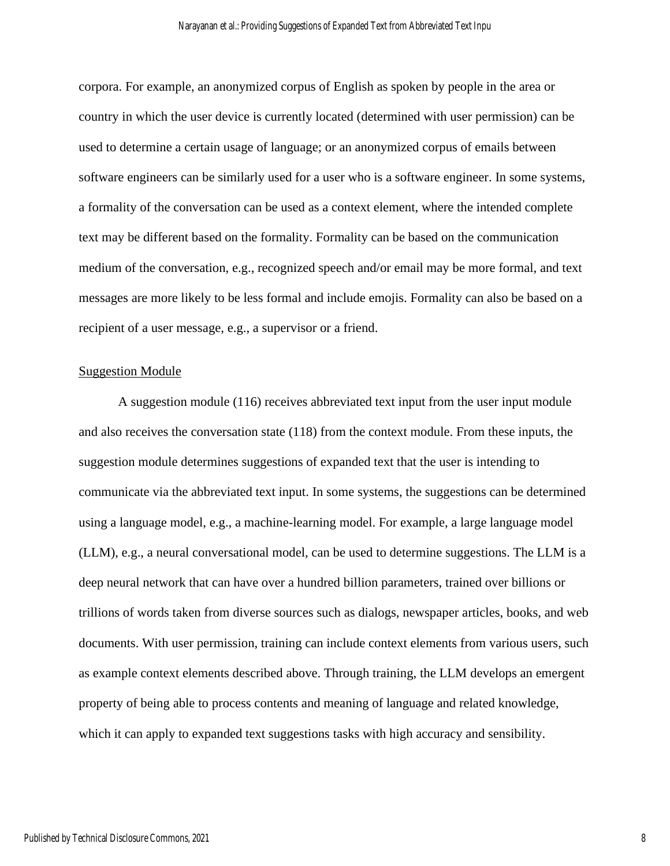corpora. For example, an anonymized corpus of English as spoken by people in the area or country in which the user device is currently located (determined with user permission) can be used to determine a certain usage of language; or an anonymized corpus of emails between software engineers can be similarly used for a user who is a software engineer. In some systems, a formality of the conversation can be used as a context element, where the intended complete text may be different based on the formality. Formality can be based on the communication medium of the conversation, e.g., recognized speech and/or email may be more formal, and text messages are more likely to be less formal and include emojis. Formality can also be based on a recipient of a user message, e.g., a supervisor or a friend.

#### Suggestion Module

A suggestion module (116) receives abbreviated text input from the user input module and also receives the conversation state (118) from the context module. From these inputs, the suggestion module determines suggestions of expanded text that the user is intending to communicate via the abbreviated text input. In some systems, the suggestions can be determined using a language model, e.g., a machine-learning model. For example, a large language model (LLM), e.g., a neural conversational model, can be used to determine suggestions. The LLM is a deep neural network that can have over a hundred billion parameters, trained over billions or trillions of words taken from diverse sources such as dialogs, newspaper articles, books, and web documents. With user permission, training can include context elements from various users, such as example context elements described above. Through training, the LLM develops an emergent property of being able to process contents and meaning of language and related knowledge, which it can apply to expanded text suggestions tasks with high accuracy and sensibility.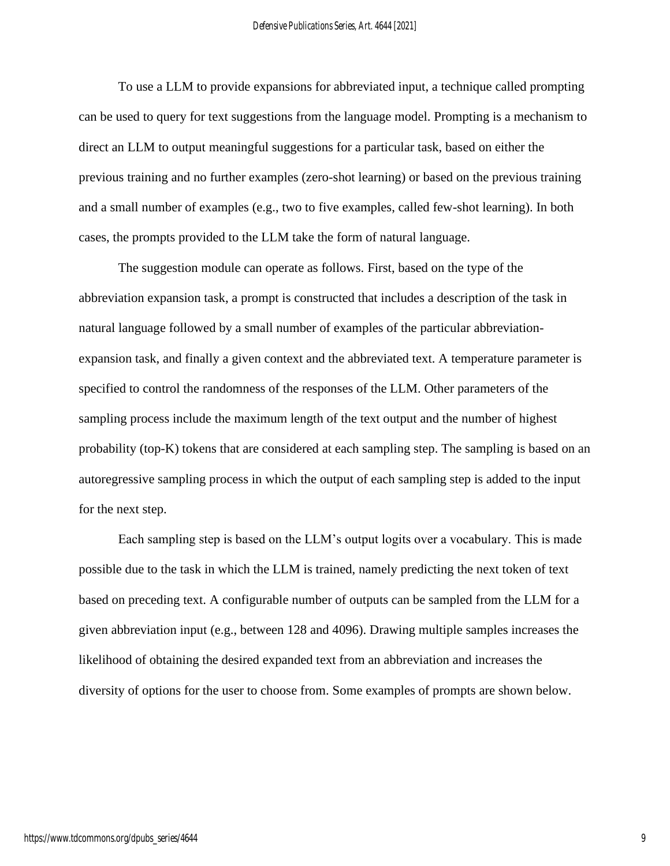To use a LLM to provide expansions for abbreviated input, a technique called prompting can be used to query for text suggestions from the language model. Prompting is a mechanism to direct an LLM to output meaningful suggestions for a particular task, based on either the previous training and no further examples (zero-shot learning) or based on the previous training and a small number of examples (e.g., two to five examples, called few-shot learning). In both cases, the prompts provided to the LLM take the form of natural language.

The suggestion module can operate as follows. First, based on the type of the abbreviation expansion task, a prompt is constructed that includes a description of the task in natural language followed by a small number of examples of the particular abbreviationexpansion task, and finally a given context and the abbreviated text. A temperature parameter is specified to control the randomness of the responses of the LLM. Other parameters of the sampling process include the maximum length of the text output and the number of highest probability (top-K) tokens that are considered at each sampling step. The sampling is based on an autoregressive sampling process in which the output of each sampling step is added to the input for the next step.

Each sampling step is based on the LLM's output logits over a vocabulary. This is made possible due to the task in which the LLM is trained, namely predicting the next token of text based on preceding text. A configurable number of outputs can be sampled from the LLM for a given abbreviation input (e.g., between 128 and 4096). Drawing multiple samples increases the likelihood of obtaining the desired expanded text from an abbreviation and increases the diversity of options for the user to choose from. Some examples of prompts are shown below.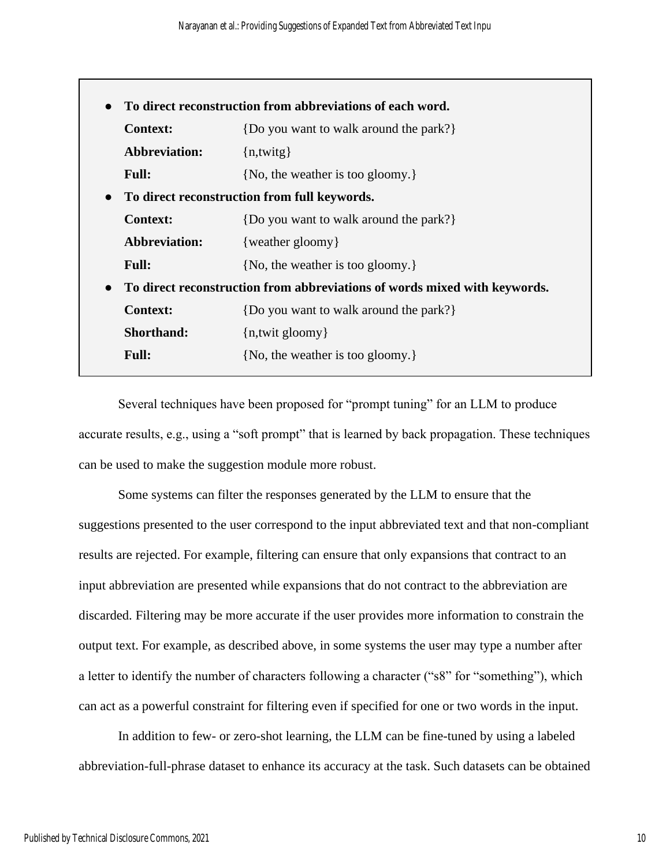| <b>Context:</b>      | {Do you want to walk around the park?}                                    |
|----------------------|---------------------------------------------------------------------------|
| <b>Abbreviation:</b> | $\{n,$ twitg $\}$                                                         |
| <b>Full:</b>         | {No, the weather is too gloomy.}                                          |
|                      | To direct reconstruction from full keywords.                              |
| <b>Context:</b>      | {Do you want to walk around the park?}                                    |
| <b>Abbreviation:</b> | {weather gloomy}                                                          |
| <b>Full:</b>         | {No, the weather is too gloomy.}                                          |
|                      | To direct reconstruction from abbreviations of words mixed with keywords. |
| <b>Context:</b>      | {Do you want to walk around the park?}                                    |
| <b>Shorthand:</b>    | $\{n, \text{twit gloomy}\}\$                                              |
| <b>Full:</b>         | {No, the weather is too gloomy.}                                          |

Several techniques have been proposed for "prompt tuning" for an LLM to produce accurate results, e.g., using a "soft prompt" that is learned by back propagation. These techniques can be used to make the suggestion module more robust.

Some systems can filter the responses generated by the LLM to ensure that the suggestions presented to the user correspond to the input abbreviated text and that non-compliant results are rejected. For example, filtering can ensure that only expansions that contract to an input abbreviation are presented while expansions that do not contract to the abbreviation are discarded. Filtering may be more accurate if the user provides more information to constrain the output text. For example, as described above, in some systems the user may type a number after a letter to identify the number of characters following a character ("s8" for "something"), which can act as a powerful constraint for filtering even if specified for one or two words in the input.

In addition to few- or zero-shot learning, the LLM can be fine-tuned by using a labeled abbreviation-full-phrase dataset to enhance its accuracy at the task. Such datasets can be obtained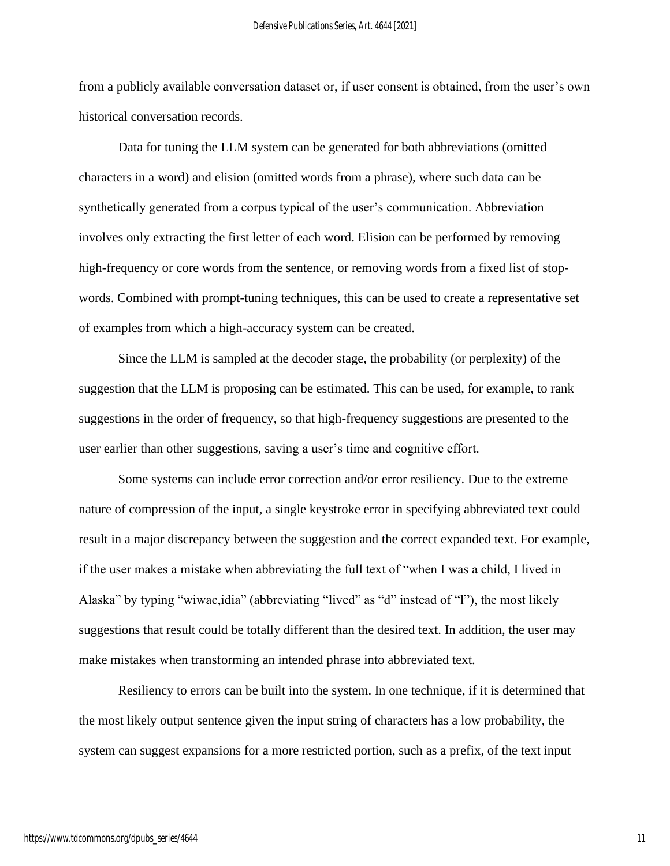from a publicly available conversation dataset or, if user consent is obtained, from the user's own historical conversation records.

Data for tuning the LLM system can be generated for both abbreviations (omitted characters in a word) and elision (omitted words from a phrase), where such data can be synthetically generated from a corpus typical of the user's communication. Abbreviation involves only extracting the first letter of each word. Elision can be performed by removing high-frequency or core words from the sentence, or removing words from a fixed list of stopwords. Combined with prompt-tuning techniques, this can be used to create a representative set of examples from which a high-accuracy system can be created.

Since the LLM is sampled at the decoder stage, the probability (or perplexity) of the suggestion that the LLM is proposing can be estimated. This can be used, for example, to rank suggestions in the order of frequency, so that high-frequency suggestions are presented to the user earlier than other suggestions, saving a user's time and cognitive effort.

Some systems can include error correction and/or error resiliency. Due to the extreme nature of compression of the input, a single keystroke error in specifying abbreviated text could result in a major discrepancy between the suggestion and the correct expanded text. For example, if the user makes a mistake when abbreviating the full text of "when I was a child, I lived in Alaska" by typing "wiwac,idia" (abbreviating "lived" as "d" instead of "l"), the most likely suggestions that result could be totally different than the desired text. In addition, the user may make mistakes when transforming an intended phrase into abbreviated text.

Resiliency to errors can be built into the system. In one technique, if it is determined that the most likely output sentence given the input string of characters has a low probability, the system can suggest expansions for a more restricted portion, such as a prefix, of the text input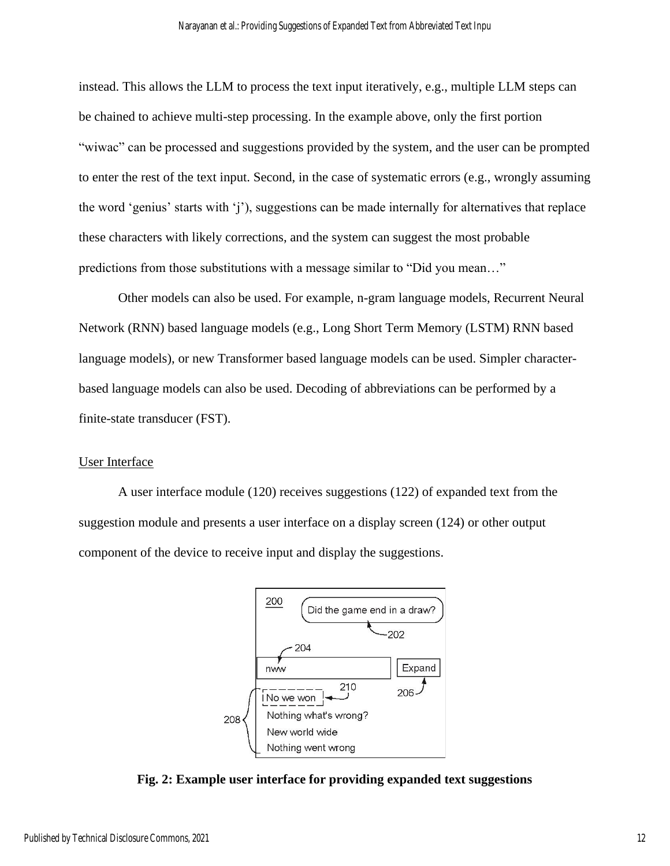instead. This allows the LLM to process the text input iteratively, e.g., multiple LLM steps can be chained to achieve multi-step processing. In the example above, only the first portion "wiwac" can be processed and suggestions provided by the system, and the user can be prompted to enter the rest of the text input. Second, in the case of systematic errors (e.g., wrongly assuming the word 'genius' starts with 'j'), suggestions can be made internally for alternatives that replace these characters with likely corrections, and the system can suggest the most probable predictions from those substitutions with a message similar to "Did you mean…"

Other models can also be used. For example, n-gram language models, Recurrent Neural Network (RNN) based language models (e.g., Long Short Term Memory (LSTM) RNN based language models), or new Transformer based language models can be used. Simpler characterbased language models can also be used. Decoding of abbreviations can be performed by a finite-state transducer (FST).

## User Interface

A user interface module (120) receives suggestions (122) of expanded text from the suggestion module and presents a user interface on a display screen (124) or other output component of the device to receive input and display the suggestions.



**Fig. 2: Example user interface for providing expanded text suggestions**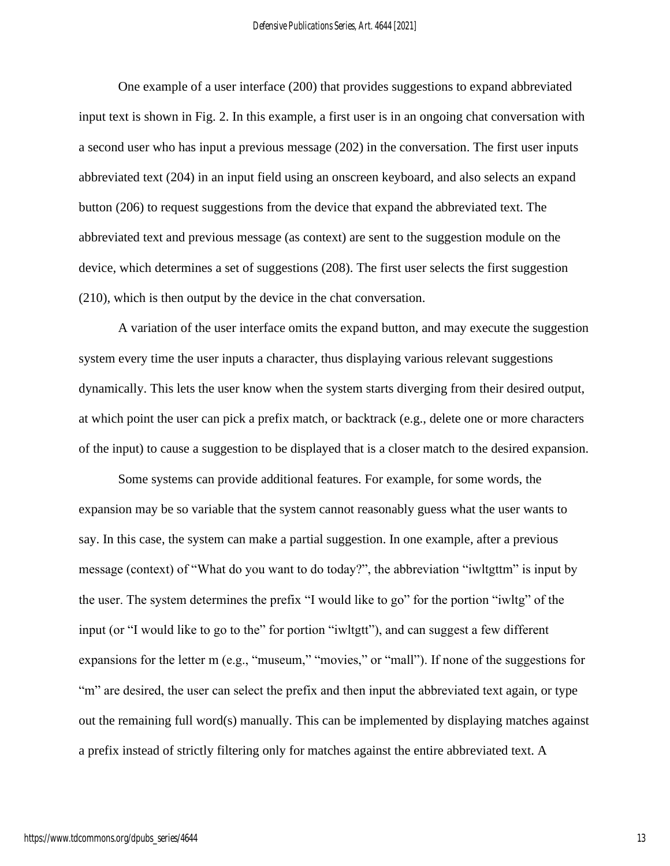One example of a user interface (200) that provides suggestions to expand abbreviated input text is shown in Fig. 2. In this example, a first user is in an ongoing chat conversation with a second user who has input a previous message (202) in the conversation. The first user inputs abbreviated text (204) in an input field using an onscreen keyboard, and also selects an expand button (206) to request suggestions from the device that expand the abbreviated text. The abbreviated text and previous message (as context) are sent to the suggestion module on the device, which determines a set of suggestions (208). The first user selects the first suggestion (210), which is then output by the device in the chat conversation.

A variation of the user interface omits the expand button, and may execute the suggestion system every time the user inputs a character, thus displaying various relevant suggestions dynamically. This lets the user know when the system starts diverging from their desired output, at which point the user can pick a prefix match, or backtrack (e.g., delete one or more characters of the input) to cause a suggestion to be displayed that is a closer match to the desired expansion.

Some systems can provide additional features. For example, for some words, the expansion may be so variable that the system cannot reasonably guess what the user wants to say. In this case, the system can make a partial suggestion. In one example, after a previous message (context) of "What do you want to do today?", the abbreviation "iwltgttm" is input by the user. The system determines the prefix "I would like to go" for the portion "iwltg" of the input (or "I would like to go to the" for portion "iwltgtt"), and can suggest a few different expansions for the letter m (e.g., "museum," "movies," or "mall"). If none of the suggestions for "m" are desired, the user can select the prefix and then input the abbreviated text again, or type out the remaining full word(s) manually. This can be implemented by displaying matches against a prefix instead of strictly filtering only for matches against the entire abbreviated text. A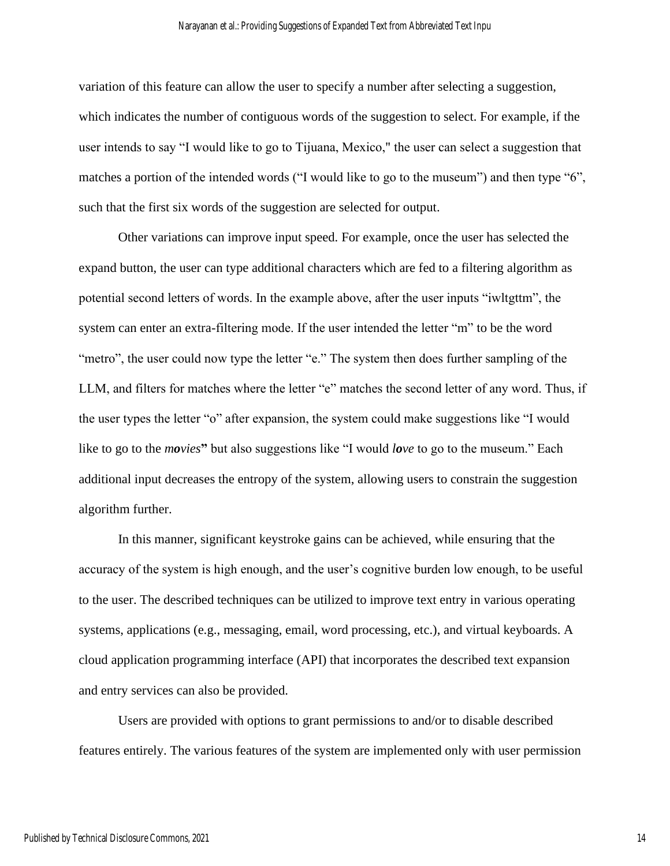variation of this feature can allow the user to specify a number after selecting a suggestion, which indicates the number of contiguous words of the suggestion to select. For example, if the user intends to say "I would like to go to Tijuana, Mexico," the user can select a suggestion that matches a portion of the intended words ("I would like to go to the museum") and then type "6", such that the first six words of the suggestion are selected for output.

Other variations can improve input speed. For example, once the user has selected the expand button, the user can type additional characters which are fed to a filtering algorithm as potential second letters of words. In the example above, after the user inputs "iwltgttm", the system can enter an extra-filtering mode. If the user intended the letter "m" to be the word "metro", the user could now type the letter "e." The system then does further sampling of the LLM, and filters for matches where the letter "e" matches the second letter of any word. Thus, if the user types the letter "o" after expansion, the system could make suggestions like "I would like to go to the *movies***"** but also suggestions like "I would *love* to go to the museum." Each additional input decreases the entropy of the system, allowing users to constrain the suggestion algorithm further.

In this manner, significant keystroke gains can be achieved, while ensuring that the accuracy of the system is high enough, and the user's cognitive burden low enough, to be useful to the user. The described techniques can be utilized to improve text entry in various operating systems, applications (e.g., messaging, email, word processing, etc.), and virtual keyboards. A cloud application programming interface (API) that incorporates the described text expansion and entry services can also be provided.

Users are provided with options to grant permissions to and/or to disable described features entirely. The various features of the system are implemented only with user permission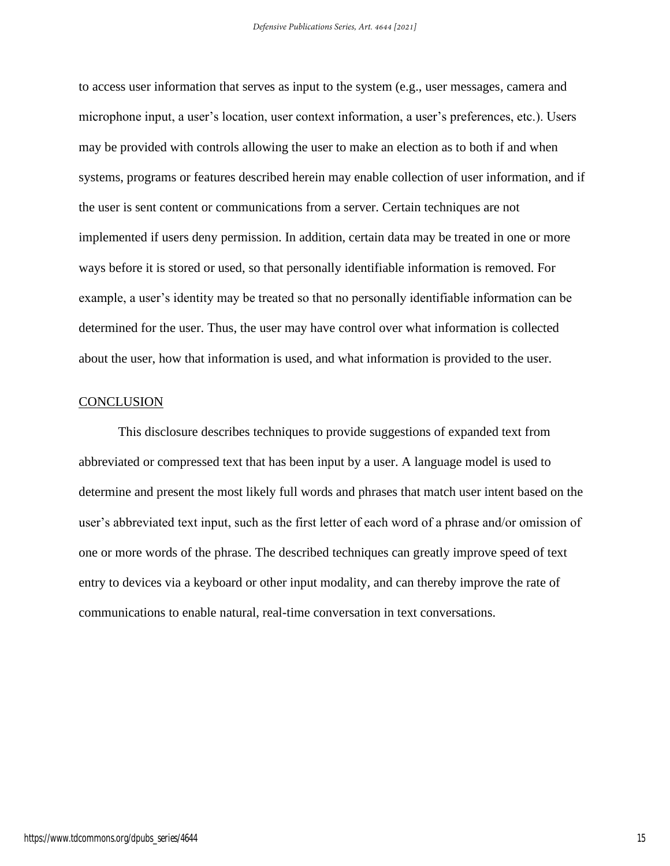to access user information that serves as input to the system (e.g., user messages, camera and microphone input, a user's location, user context information, a user's preferences, etc.). Users may be provided with controls allowing the user to make an election as to both if and when systems, programs or features described herein may enable collection of user information, and if the user is sent content or communications from a server. Certain techniques are not implemented if users deny permission. In addition, certain data may be treated in one or more ways before it is stored or used, so that personally identifiable information is removed. For example, a user's identity may be treated so that no personally identifiable information can be determined for the user. Thus, the user may have control over what information is collected about the user, how that information is used, and what information is provided to the user.

#### **CONCLUSION**

This disclosure describes techniques to provide suggestions of expanded text from abbreviated or compressed text that has been input by a user. A language model is used to determine and present the most likely full words and phrases that match user intent based on the user's abbreviated text input, such as the first letter of each word of a phrase and/or omission of one or more words of the phrase. The described techniques can greatly improve speed of text entry to devices via a keyboard or other input modality, and can thereby improve the rate of communications to enable natural, real-time conversation in text conversations.